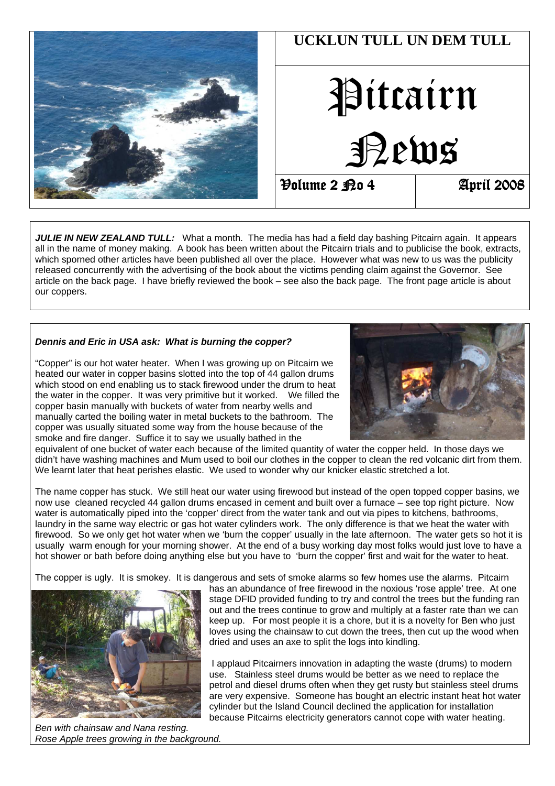

**JULIE IN NEW ZEALAND TULL:** What a month. The media has had a field day bashing Pitcairn again. It appears all in the name of money making. A book has been written about the Pitcairn trials and to publicise the book, extracts, which sporned other articles have been published all over the place. However what was new to us was the publicity released concurrently with the advertising of the book about the victims pending claim against the Governor. See article on the back page. I have briefly reviewed the book – see also the back page. The front page article is about our coppers.

#### **Dennis and Eric in USA ask: What is burning the copper?**

"Copper" is our hot water heater. When I was growing up on Pitcairn we heated our water in copper basins slotted into the top of 44 gallon drums which stood on end enabling us to stack firewood under the drum to heat the water in the copper. It was very primitive but it worked. We filled the copper basin manually with buckets of water from nearby wells and manually carted the boiling water in metal buckets to the bathroom. The copper was usually situated some way from the house because of the smoke and fire danger. Suffice it to say we usually bathed in the



equivalent of one bucket of water each because of the limited quantity of water the copper held. In those days we didn't have washing machines and Mum used to boil our clothes in the copper to clean the red volcanic dirt from them. We learnt later that heat perishes elastic. We used to wonder why our knicker elastic stretched a lot.

The name copper has stuck. We still heat our water using firewood but instead of the open topped copper basins, we now use cleaned recycled 44 gallon drums encased in cement and built over a furnace – see top right picture. Now water is automatically piped into the 'copper' direct from the water tank and out via pipes to kitchens, bathrooms, laundry in the same way electric or gas hot water cylinders work. The only difference is that we heat the water with firewood. So we only get hot water when we 'burn the copper' usually in the late afternoon. The water gets so hot it is usually warm enough for your morning shower. At the end of a busy working day most folks would just love to have a hot shower or bath before doing anything else but you have to 'burn the copper' first and wait for the water to heat.

The copper is ugly. It is smokey. It is dangerous and sets of smoke alarms so few homes use the alarms. Pitcairn



Ben with chainsaw and Nana resting. Rose Apple trees growing in the background.

has an abundance of free firewood in the noxious 'rose apple' tree. At one stage DFID provided funding to try and control the trees but the funding ran out and the trees continue to grow and multiply at a faster rate than we can keep up. For most people it is a chore, but it is a novelty for Ben who just loves using the chainsaw to cut down the trees, then cut up the wood when dried and uses an axe to split the logs into kindling.

 I applaud Pitcairners innovation in adapting the waste (drums) to modern use. Stainless steel drums would be better as we need to replace the petrol and diesel drums often when they get rusty but stainless steel drums are very expensive. Someone has bought an electric instant heat hot water cylinder but the Island Council declined the application for installation because Pitcairns electricity generators cannot cope with water heating.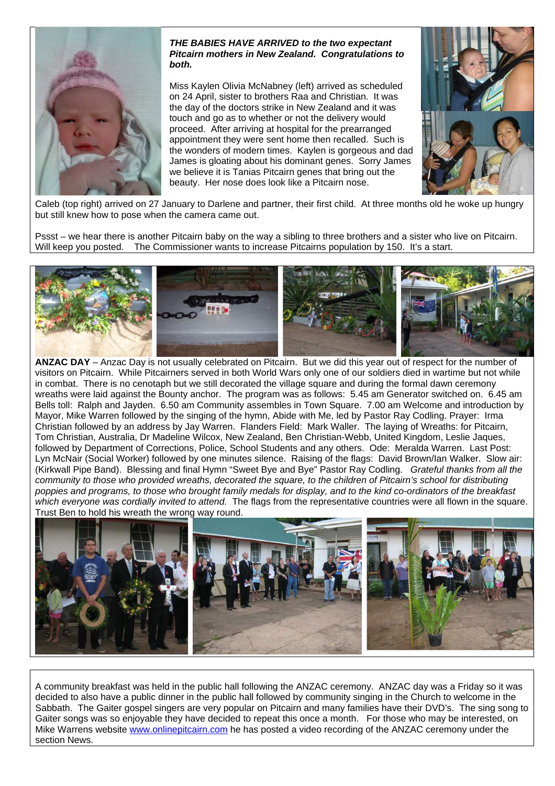

#### **THE BABIES HAVE ARRIVED to the two expectant Pitcairn mothers in New Zealand. Congratulations to both.**

Miss Kaylen Olivia McNabney (left) arrived as scheduled on 24 April, sister to brothers Raa and Christian. It was the day of the doctors strike in New Zealand and it was touch and go as to whether or not the delivery would proceed. After arriving at hospital for the prearranged appointment they were sent home then recalled. Such is the wonders of modern times. Kaylen is gorgeous and dad James is gloating about his dominant genes. Sorry James we believe it is Tanias Pitcairn genes that bring out the beauty. Her nose does look like a Pitcairn nose.



Caleb (top right) arrived on 27 January to Darlene and partner, their first child. At three months old he woke up hungry but still knew how to pose when the camera came out.

Pssst – we hear there is another Pitcairn baby on the way a sibling to three brothers and a sister who live on Pitcairn. Will keep you posted. The Commissioner wants to increase Pitcairns population by 150. It's a start.



**ANZAC DAY** – Anzac Day is not usually celebrated on Pitcairn. But we did this year out of respect for the number of visitors on Pitcairn. While Pitcairners served in both World Wars only one of our soldiers died in wartime but not while in combat. There is no cenotaph but we still decorated the village square and during the formal dawn ceremony wreaths were laid against the Bounty anchor. The program was as follows: 5.45 am Generator switched on. 6.45 am Bells toll: Ralph and Jayden. 6.50 am Community assembles in Town Square. 7.00 am Welcome and introduction by Mayor, Mike Warren followed by the singing of the hymn, Abide with Me, led by Pastor Ray Codling. Prayer: Irma Christian followed by an address by Jay Warren. Flanders Field: Mark Waller. The laying of Wreaths: for Pitcairn, Tom Christian, Australia, Dr Madeline Wilcox, New Zealand, Ben Christian-Webb, United Kingdom, Leslie Jaques, followed by Department of Corrections, Police, School Students and any others. Ode: Meralda Warren. Last Post: Lyn McNair (Social Worker) followed by one minutes silence. Raising of the flags: David Brown/Ian Walker. Slow air: (Kirkwall Pipe Band). Blessing and final Hymn "Sweet Bye and Bye" Pastor Ray Codling. Grateful thanks from all the community to those who provided wreaths, decorated the square, to the children of Pitcairn's school for distributing poppies and programs, to those who brought family medals for display, and to the kind co-ordinators of the breakfast which everyone was cordially invited to attend. The flags from the representative countries were all flown in the square. Trust Ben to hold his wreath the wrong way round.



A community breakfast was held in the public hall following the ANZAC ceremony. ANZAC day was a Friday so it was decided to also have a public dinner in the public hall followed by community singing in the Church to welcome in the Sabbath. The Gaiter gospel singers are very popular on Pitcairn and many families have their DVD's. The sing song to Gaiter songs was so enjoyable they have decided to repeat this once a month. For those who may be interested, on Mike Warrens website www.onlinepitcairn.com he has posted a video recording of the ANZAC ceremony under the section News.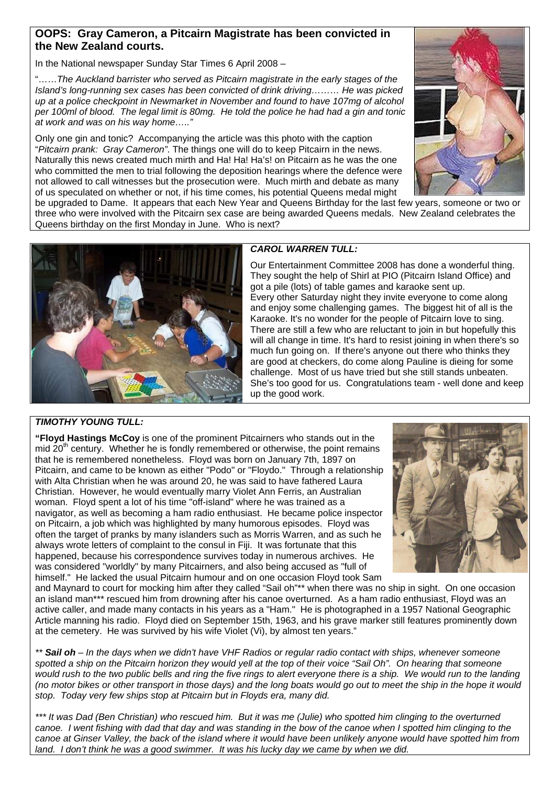## **OOPS: Gray Cameron, a Pitcairn Magistrate has been convicted in the New Zealand courts.**

In the National newspaper Sunday Star Times 6 April 2008 –

"……The Auckland barrister who served as Pitcairn magistrate in the early stages of the Island's long-running sex cases has been convicted of drink driving……… He was picked up at a police checkpoint in Newmarket in November and found to have 107mg of alcohol per 100ml of blood. The legal limit is 80mg. He told the police he had had a gin and tonic at work and was on his way home….."

Only one gin and tonic? Accompanying the article was this photo with the caption "Pitcairn prank: Gray Cameron". The things one will do to keep Pitcairn in the news. Naturally this news created much mirth and Ha! Ha! Ha's! on Pitcairn as he was the one who committed the men to trial following the deposition hearings where the defence were not allowed to call witnesses but the prosecution were. Much mirth and debate as many of us speculated on whether or not, if his time comes, his potential Queens medal might



be upgraded to Dame. It appears that each New Year and Queens Birthday for the last few years, someone or two or three who were involved with the Pitcairn sex case are being awarded Queens medals. New Zealand celebrates the Queens birthday on the first Monday in June. Who is next?



## **CAROL WARREN TULL:**

Our Entertainment Committee 2008 has done a wonderful thing. They sought the help of Shirl at PIO (Pitcairn Island Office) and got a pile (lots) of table games and karaoke sent up. Every other Saturday night they invite everyone to come along and enjoy some challenging games. The biggest hit of all is the Karaoke. It's no wonder for the people of Pitcairn love to sing. There are still a few who are reluctant to join in but hopefully this will all change in time. It's hard to resist joining in when there's so much fun going on. If there's anyone out there who thinks they are good at checkers, do come along Pauline is dieing for some challenge. Most of us have tried but she still stands unbeaten. She's too good for us. Congratulations team - well done and keep up the good work.

## **TIMOTHY YOUNG TULL:**

**"Floyd Hastings McCoy** is one of the prominent Pitcairners who stands out in the mid  $20<sup>th</sup>$  century. Whether he is fondly remembered or otherwise, the point remains that he is remembered nonetheless. Floyd was born on January 7th, 1897 on Pitcairn, and came to be known as either "Podo" or "Floydo." Through a relationship with Alta Christian when he was around 20, he was said to have fathered Laura Christian. However, he would eventually marry Violet Ann Ferris, an Australian woman. Floyd spent a lot of his time "off-island" where he was trained as a navigator, as well as becoming a ham radio enthusiast. He became police inspector on Pitcairn, a job which was highlighted by many humorous episodes. Floyd was often the target of pranks by many islanders such as Morris Warren, and as such he always wrote letters of complaint to the consul in Fiji. It was fortunate that this happened, because his correspondence survives today in numerous archives. He was considered "worldly" by many Pitcairners, and also being accused as "full of himself." He lacked the usual Pitcairn humour and on one occasion Floyd took Sam



and Maynard to court for mocking him after they called "Sail oh"\*\* when there was no ship in sight. On one occasion an island man\*\*\* rescued him from drowning after his canoe overturned. As a ham radio enthusiast, Floyd was an active caller, and made many contacts in his years as a "Ham." He is photographed in a 1957 National Geographic Article manning his radio. Floyd died on September 15th, 1963, and his grave marker still features prominently down at the cemetery. He was survived by his wife Violet (Vi), by almost ten years."

\*\* **Sail oh** – In the days when we didn't have VHF Radios or regular radio contact with ships, whenever someone spotted a ship on the Pitcairn horizon they would yell at the top of their voice "Sail Oh". On hearing that someone would rush to the two public bells and ring the five rings to alert everyone there is a ship. We would run to the landing (no motor bikes or other transport in those days) and the long boats would go out to meet the ship in the hope it would stop. Today very few ships stop at Pitcairn but in Floyds era, many did.

\*\*\* It was Dad (Ben Christian) who rescued him. But it was me (Julie) who spotted him clinging to the overturned canoe. I went fishing with dad that day and was standing in the bow of the canoe when I spotted him clinging to the canoe at Ginser Valley, the back of the island where it would have been unlikely anyone would have spotted him from land. I don't think he was a good swimmer. It was his lucky day we came by when we did.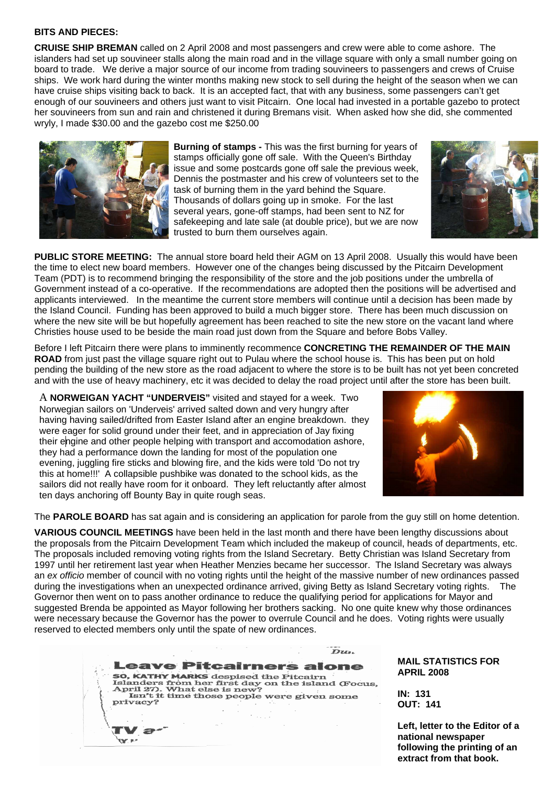#### **BITS AND PIECES:**

**CRUISE SHIP BREMAN** called on 2 April 2008 and most passengers and crew were able to come ashore. The islanders had set up souvineer stalls along the main road and in the village square with only a small number going on board to trade. We derive a major source of our income from trading souvineers to passengers and crews of Cruise ships. We work hard during the winter months making new stock to sell during the height of the season when we can have cruise ships visiting back to back. It is an accepted fact, that with any business, some passengers can't get enough of our souvineers and others just want to visit Pitcairn. One local had invested in a portable gazebo to protect her souvineers from sun and rain and christened it during Bremans visit. When asked how she did, she commented wryly, I made \$30.00 and the gazebo cost me \$250.00



**Burning of stamps -** This was the first burning for years of stamps officially gone off sale. With the Queen's Birthday issue and some postcards gone off sale the previous week, Dennis the postmaster and his crew of volunteers set to the task of burning them in the yard behind the Square. Thousands of dollars going up in smoke. For the last several years, gone-off stamps, had been sent to NZ for safekeeping and late sale (at double price), but we are now trusted to burn them ourselves again.



**PUBLIC STORE MEETING:** The annual store board held their AGM on 13 April 2008. Usually this would have been the time to elect new board members. However one of the changes being discussed by the Pitcairn Development Team (PDT) is to recommend bringing the responsibility of the store and the job positions under the umbrella of Government instead of a co-operative. If the recommendations are adopted then the positions will be advertised and applicants interviewed. In the meantime the current store members will continue until a decision has been made by the Island Council. Funding has been approved to build a much bigger store. There has been much discussion on where the new site will be but hopefully agreement has been reached to site the new store on the vacant land where Christies house used to be beside the main road just down from the Square and before Bobs Valley.

Before I left Pitcairn there were plans to imminently recommence **CONCRETING THE REMAINDER OF THE MAIN ROAD** from just past the village square right out to Pulau where the school house is. This has been put on hold pending the building of the new store as the road adjacent to where the store is to be built has not yet been concreted and with the use of heavy machinery, etc it was decided to delay the road project until after the store has been built.

A **NORWEIGAN YACHT "UNDERVEIS"** visited and stayed for a week. Two Norwegian sailors on 'Underveis' arrived salted down and very hungry after having having sailed/drifted from Easter Island after an engine breakdown. they were eager for solid ground under their feet, and in appreciation of Jay fixing their engine and other people helping with transport and accomodation ashore, they had a performance down the landing for most of the population one evening, juggling fire sticks and blowing fire, and the kids were told 'Do not try this at home!!!' A collapsible pushbike was donated to the school kids, as the sailors did not really have room for it onboard. They left reluctantly after almost ten days anchoring off Bounty Bay in quite rough seas.



The **PAROLE BOARD** has sat again and is considering an application for parole from the guy still on home detention.

**VARIOUS COUNCIL MEETINGS** have been held in the last month and there have been lengthy discussions about the proposals from the Pitcairn Development Team which included the makeup of council, heads of departments, etc. The proposals included removing voting rights from the Island Secretary. Betty Christian was Island Secretary from 1997 until her retirement last year when Heather Menzies became her successor. The Island Secretary was always an ex officio member of council with no voting rights until the height of the massive number of new ordinances passed during the investigations when an unexpected ordinance arrived, giving Betty as Island Secretary voting rights. The Governor then went on to pass another ordinance to reduce the qualifying period for applications for Mayor and suggested Brenda be appointed as Mayor following her brothers sacking. No one quite knew why those ordinances were necessary because the Governor has the power to overrule Council and he does. Voting rights were usually reserved to elected members only until the spate of new ordinances.

Dzz.

**Leave Pitcairners alone** 50, KATHY MARKS despised the Pitcairn<br>Islanders from her first day on the island (Focus,<br>April 27). What else is new?<br>Isn't it time those people were given some<br>nriv.acy? privacy?

 $\rightarrow$ 

**MAIL STATISTICS FOR APRIL 2008** 

**IN: 131 OUT: 141** 

**Left, letter to the Editor of a national newspaper following the printing of an extract from that book.**